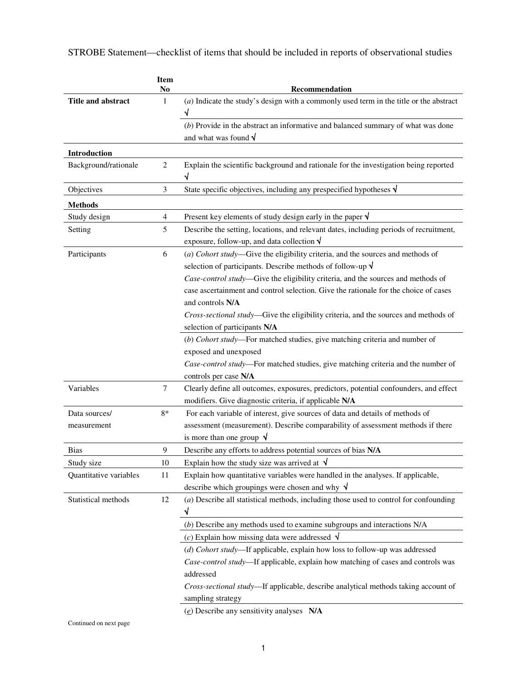|                        | <b>Item</b><br>N <sub>0</sub> | Recommendation                                                                                                                                                                                                                         |
|------------------------|-------------------------------|----------------------------------------------------------------------------------------------------------------------------------------------------------------------------------------------------------------------------------------|
| Title and abstract     | 1                             | $(a)$ Indicate the study's design with a commonly used term in the title or the abstract                                                                                                                                               |
|                        |                               | $(b)$ Provide in the abstract an informative and balanced summary of what was done                                                                                                                                                     |
|                        |                               | and what was found $\sqrt{}$                                                                                                                                                                                                           |
| Introduction           |                               |                                                                                                                                                                                                                                        |
| Background/rationale   | $\sqrt{2}$                    | Explain the scientific background and rationale for the investigation being reported<br>√                                                                                                                                              |
| Objectives             | 3                             | State specific objectives, including any prespecified hypotheses $\sqrt{ }$                                                                                                                                                            |
| <b>Methods</b>         |                               |                                                                                                                                                                                                                                        |
| Study design           | $\overline{4}$                | Present key elements of study design early in the paper $\sqrt{}$                                                                                                                                                                      |
| Setting                | 5                             | Describe the setting, locations, and relevant dates, including periods of recruitment,<br>exposure, follow-up, and data collection $\sqrt{}$                                                                                           |
| Participants           | 6                             | (a) Cohort study—Give the eligibility criteria, and the sources and methods of<br>selection of participants. Describe methods of follow-up $\sqrt$<br>Case-control study—Give the eligibility criteria, and the sources and methods of |
|                        |                               | case ascertainment and control selection. Give the rationale for the choice of cases<br>and controls N/A                                                                                                                               |
|                        |                               | Cross-sectional study-Give the eligibility criteria, and the sources and methods of<br>selection of participants N/A                                                                                                                   |
|                        |                               | (b) Cohort study-For matched studies, give matching criteria and number of                                                                                                                                                             |
|                        |                               | exposed and unexposed                                                                                                                                                                                                                  |
|                        |                               | Case-control study-For matched studies, give matching criteria and the number of                                                                                                                                                       |
|                        |                               | controls per case N/A                                                                                                                                                                                                                  |
| Variables              | $\tau$                        | Clearly define all outcomes, exposures, predictors, potential confounders, and effect                                                                                                                                                  |
|                        |                               | modifiers. Give diagnostic criteria, if applicable N/A                                                                                                                                                                                 |
| Data sources/          | 8*                            | For each variable of interest, give sources of data and details of methods of                                                                                                                                                          |
| measurement            |                               | assessment (measurement). Describe comparability of assessment methods if there                                                                                                                                                        |
|                        |                               | is more than one group $\sqrt{ }$                                                                                                                                                                                                      |
| Bias                   | 9                             | Describe any efforts to address potential sources of bias N/A                                                                                                                                                                          |
| Study size             | 10                            | Explain how the study size was arrived at $\sqrt{ }$                                                                                                                                                                                   |
| Quantitative variables | 11                            | Explain how quantitative variables were handled in the analyses. If applicable,                                                                                                                                                        |
|                        |                               | describe which groupings were chosen and why $\sqrt$                                                                                                                                                                                   |
| Statistical methods    | 12                            | (a) Describe all statistical methods, including those used to control for confounding                                                                                                                                                  |
|                        |                               |                                                                                                                                                                                                                                        |
|                        |                               | $(b)$ Describe any methods used to examine subgroups and interactions $N/A$                                                                                                                                                            |
|                        |                               | (c) Explain how missing data were addressed $\sqrt$                                                                                                                                                                                    |
|                        |                               | (d) Cohort study-If applicable, explain how loss to follow-up was addressed                                                                                                                                                            |
|                        |                               | Case-control study-If applicable, explain how matching of cases and controls was                                                                                                                                                       |
|                        |                               | addressed                                                                                                                                                                                                                              |
|                        |                               | Cross-sectional study-If applicable, describe analytical methods taking account of                                                                                                                                                     |
|                        |                               | sampling strategy                                                                                                                                                                                                                      |
|                        |                               | $(e)$ Describe any sensitivity analyses N/A                                                                                                                                                                                            |

STROBE Statement—checklist of items that should be included in reports of observational studies

Continued on next page